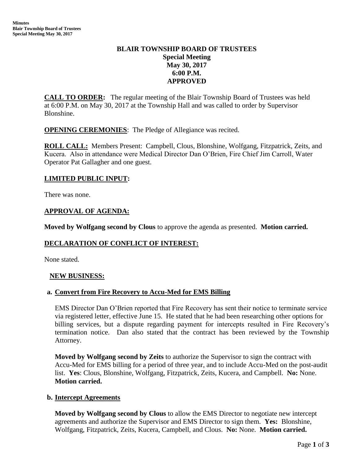# **BLAIR TOWNSHIP BOARD OF TRUSTEES Special Meeting May 30, 2017 6:00 P.M. APPROVED**

**CALL TO ORDER:** The regular meeting of the Blair Township Board of Trustees was held at 6:00 P.M. on May 30, 2017 at the Township Hall and was called to order by Supervisor Blonshine.

**OPENING CEREMONIES**: The Pledge of Allegiance was recited.

**ROLL CALL:** Members Present: Campbell, Clous, Blonshine, Wolfgang, Fitzpatrick, Zeits, and Kucera. Also in attendance were Medical Director Dan O'Brien, Fire Chief Jim Carroll, Water Operator Pat Gallagher and one guest.

## **LIMITED PUBLIC INPUT:**

There was none.

## **APPROVAL OF AGENDA:**

**Moved by Wolfgang second by Clous** to approve the agenda as presented. **Motion carried.**

## **DECLARATION OF CONFLICT OF INTEREST:**

None stated.

#### **NEW BUSINESS:**

#### **a. Convert from Fire Recovery to Accu-Med for EMS Billing**

 EMS Director Dan O'Brien reported that Fire Recovery has sent their notice to terminate service via registered letter, effective June 15. He stated that he had been researching other options for billing services, but a dispute regarding payment for intercepts resulted in Fire Recovery's termination notice. Dan also stated that the contract has been reviewed by the Township Attorney.

**Moved by Wolfgang second by Zeits** to authorize the Supervisor to sign the contract with Accu-Med for EMS billing for a period of three year, and to include Accu-Med on the post-audit list. **Yes**: Clous, Blonshine, Wolfgang, Fitzpatrick, Zeits, Kucera, and Campbell. **No:** None. **Motion carried.**

#### **b. Intercept Agreements**

**Moved by Wolfgang second by Clous** to allow the EMS Director to negotiate new intercept agreements and authorize the Supervisor and EMS Director to sign them. **Yes:** Blonshine, Wolfgang, Fitzpatrick, Zeits, Kucera, Campbell, and Clous. **No:** None. **Motion carried.**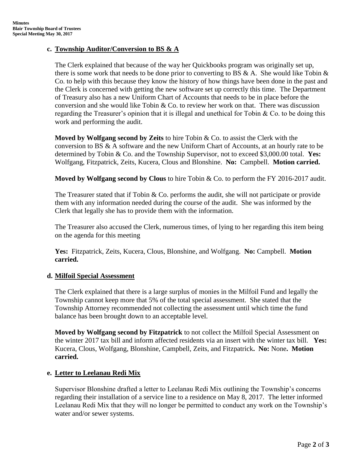## **c. Township Auditor/Conversion to BS & A**

The Clerk explained that because of the way her Quickbooks program was originally set up, there is some work that needs to be done prior to converting to BS  $\&$  A. She would like Tobin  $\&$ Co. to help with this because they know the history of how things have been done in the past and the Clerk is concerned with getting the new software set up correctly this time. The Department of Treasury also has a new Uniform Chart of Accounts that needs to be in place before the conversion and she would like Tobin  $&$  Co. to review her work on that. There was discussion regarding the Treasurer's opinion that it is illegal and unethical for Tobin  $\&$  Co. to be doing this work and performing the audit.

**Moved by Wolfgang second by Zeits** to hire Tobin & Co. to assist the Clerk with the conversion to BS & A software and the new Uniform Chart of Accounts, at an hourly rate to be determined by Tobin & Co. and the Township Supervisor, not to exceed \$3,000.00 total. **Yes:** Wolfgang, Fitzpatrick, Zeits, Kucera, Clous and Blonshine. **No:** Campbell. **Motion carried.**

**Moved by Wolfgang second by Clous** to hire Tobin & Co. to perform the FY 2016-2017 audit.

The Treasurer stated that if Tobin & Co. performs the audit, she will not participate or provide them with any information needed during the course of the audit. She was informed by the Clerk that legally she has to provide them with the information.

The Treasurer also accused the Clerk, numerous times, of lying to her regarding this item being on the agenda for this meeting

**Yes:** Fitzpatrick, Zeits, Kucera, Clous, Blonshine, and Wolfgang. **No:** Campbell. **Motion carried.**

## **d. Milfoil Special Assessment**

The Clerk explained that there is a large surplus of monies in the Milfoil Fund and legally the Township cannot keep more that 5% of the total special assessment. She stated that the Township Attorney recommended not collecting the assessment until which time the fund balance has been brought down to an acceptable level.

**Moved by Wolfgang second by Fitzpatrick** to not collect the Milfoil Special Assessment on the winter 2017 tax bill and inform affected residents via an insert with the winter tax bill. **Yes:** Kucera, Clous, Wolfgang, Blonshine, Campbell, Zeits, and Fitzpatrick**. No:** None**. Motion carried.**

# **e. Letter to Leelanau Redi Mix**

Supervisor Blonshine drafted a letter to Leelanau Redi Mix outlining the Township's concerns regarding their installation of a service line to a residence on May 8, 2017. The letter informed Leelanau Redi Mix that they will no longer be permitted to conduct any work on the Township's water and/or sewer systems.